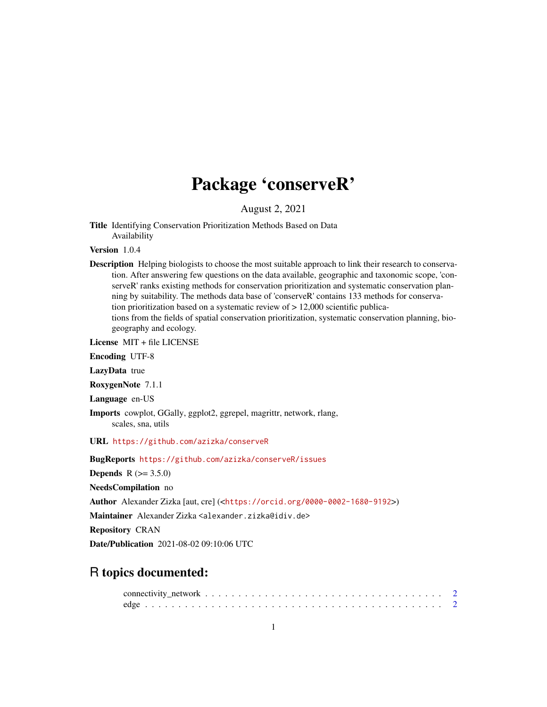## Package 'conserveR'

August 2, 2021

Title Identifying Conservation Prioritization Methods Based on Data Availability

Version 1.0.4

Description Helping biologists to choose the most suitable approach to link their research to conservation. After answering few questions on the data available, geographic and taxonomic scope, 'conserveR' ranks existing methods for conservation prioritization and systematic conservation planning by suitability. The methods data base of 'conserveR' contains 133 methods for conservation prioritization based on a systematic review of > 12,000 scientific publications from the fields of spatial conservation prioritization, systematic conservation planning, biogeography and ecology.

License MIT + file LICENSE

Encoding UTF-8

LazyData true

RoxygenNote 7.1.1

Language en-US

Imports cowplot, GGally, ggplot2, ggrepel, magrittr, network, rlang, scales, sna, utils

URL <https://github.com/azizka/conserveR>

BugReports <https://github.com/azizka/conserveR/issues>

**Depends**  $R (= 3.5.0)$ 

NeedsCompilation no

Author Alexander Zizka [aut, cre] (<<https://orcid.org/0000-0002-1680-9192>>)

Maintainer Alexander Zizka <alexander.zizka@idiv.de>

Repository CRAN

Date/Publication 2021-08-02 09:10:06 UTC

### R topics documented: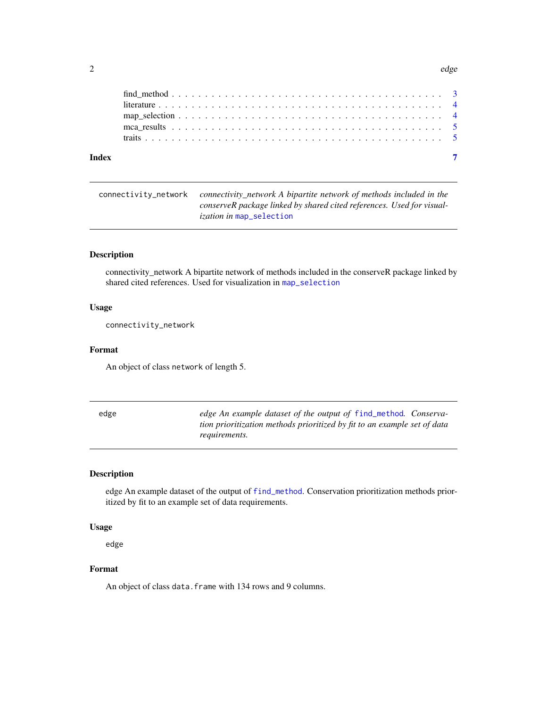#### <span id="page-1-0"></span> $2$  edge  $\neq$  edge  $\neq$  edge  $\neq$  edge  $\neq$  edge  $\neq$  edge  $\neq$  edge  $\neq$  edge  $\neq$

connectivity\_network *connectivity\_network A bipartite network of methods included in the conserveR package linked by shared cited references. Used for visualization in* [map\\_selection](#page-3-1)

#### Description

connectivity\_network A bipartite network of methods included in the conserveR package linked by shared cited references. Used for visualization in [map\\_selection](#page-3-1)

#### Usage

connectivity\_network

#### Format

An object of class network of length 5.

| edge | edge An example dataset of the output of find_method. Conserva-          |
|------|--------------------------------------------------------------------------|
|      | tion prioritization methods prioritized by fit to an example set of data |
|      | <i>requirements.</i>                                                     |

#### Description

edge An example dataset of the output of [find\\_method](#page-2-1). Conservation prioritization methods prioritized by fit to an example set of data requirements.

#### Usage

edge

#### Format

An object of class data. frame with 134 rows and 9 columns.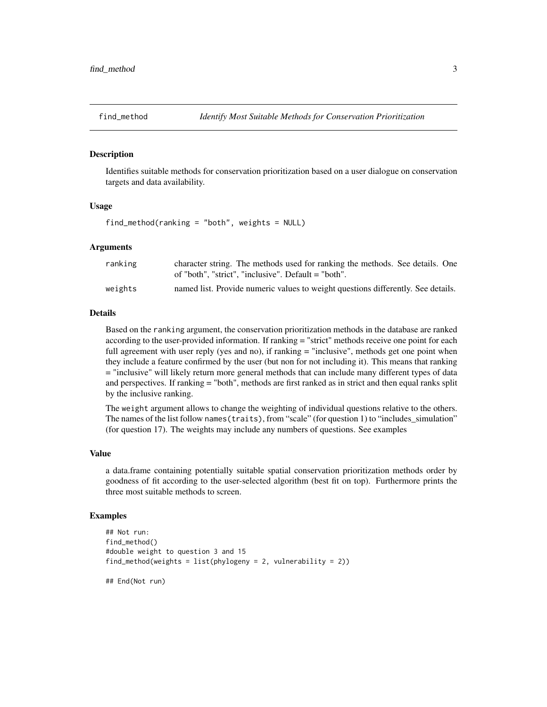<span id="page-2-1"></span><span id="page-2-0"></span>

#### Description

Identifies suitable methods for conservation prioritization based on a user dialogue on conservation targets and data availability.

#### Usage

find\_method(ranking = "both", weights = NULL)

#### Arguments

| ranking | character string. The methods used for ranking the methods. See details. One     |
|---------|----------------------------------------------------------------------------------|
|         | of "both", "strict", "inclusive". Default = "both".                              |
| weights | named list. Provide numeric values to weight questions differently. See details. |

#### Details

Based on the ranking argument, the conservation prioritization methods in the database are ranked according to the user-provided information. If ranking = "strict" methods receive one point for each full agreement with user reply (yes and no), if ranking = "inclusive", methods get one point when they include a feature confirmed by the user (but non for not including it). This means that ranking = "inclusive" will likely return more general methods that can include many different types of data and perspectives. If ranking = "both", methods are first ranked as in strict and then equal ranks split by the inclusive ranking.

The weight argument allows to change the weighting of individual questions relative to the others. The names of the list follow names (traits), from "scale" (for question 1) to "includes simulation" (for question 17). The weights may include any numbers of questions. See examples

#### Value

a data.frame containing potentially suitable spatial conservation prioritization methods order by goodness of fit according to the user-selected algorithm (best fit on top). Furthermore prints the three most suitable methods to screen.

#### Examples

```
## Not run:
find_method()
#double weight to question 3 and 15
find\_method(weights = list(phylogeny = 2, vulnerable = 2))## End(Not run)
```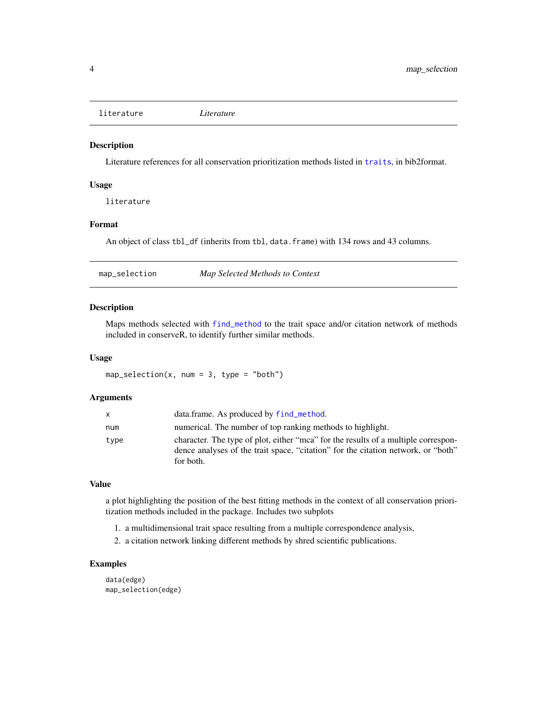<span id="page-3-2"></span><span id="page-3-0"></span>literature *Literature*

#### Description

Literature references for all conservation prioritization methods listed in [traits](#page-4-1), in bib2format.

#### Usage

literature

#### Format

An object of class tbl\_df (inherits from tbl, data.frame) with 134 rows and 43 columns.

<span id="page-3-1"></span>map\_selection *Map Selected Methods to Context*

#### Description

Maps methods selected with [find\\_method](#page-2-1) to the trait space and/or citation network of methods included in conserveR, to identify further similar methods.

#### Usage

 $map\_selection(x, num = 3, type = "both")$ 

#### Arguments

| X    | data.frame. As produced by find_method.                                                                                                                                              |
|------|--------------------------------------------------------------------------------------------------------------------------------------------------------------------------------------|
| num  | numerical. The number of top ranking methods to highlight.                                                                                                                           |
| type | character. The type of plot, either "mca" for the results of a multiple correspon-<br>dence analyses of the trait space, "citation" for the citation network, or "both"<br>for both. |

#### Value

a plot highlighting the position of the best fitting methods in the context of all conservation prioritization methods included in the package. Includes two subplots

- 1. a multidimensional trait space resulting from a multiple correspondence analysis,
- 2. a citation network linking different methods by shred scientific publications.

#### Examples

data(edge) map\_selection(edge)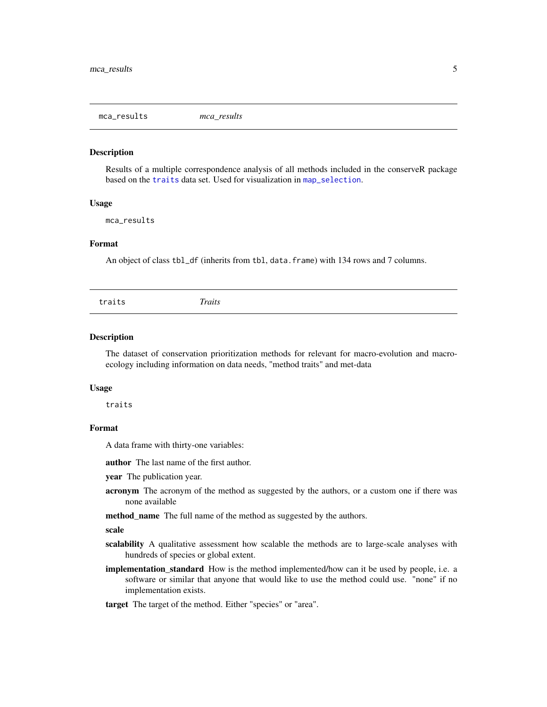<span id="page-4-0"></span>mca\_results *mca\_results*

#### Description

Results of a multiple correspondence analysis of all methods included in the conserveR package based on the [traits](#page-4-1) data set. Used for visualization in [map\\_selection](#page-3-1).

#### Usage

mca\_results

#### Format

An object of class tbl\_df (inherits from tbl, data.frame) with 134 rows and 7 columns.

<span id="page-4-1"></span>

#### Description

The dataset of conservation prioritization methods for relevant for macro-evolution and macroecology including information on data needs, "method traits" and met-data

#### Usage

traits

#### Format

A data frame with thirty-one variables:

author The last name of the first author.

year The publication year.

- acronym The acronym of the method as suggested by the authors, or a custom one if there was none available
- method\_name The full name of the method as suggested by the authors.

#### scale

- scalability A qualitative assessment how scalable the methods are to large-scale analyses with hundreds of species or global extent.
- implementation\_standard How is the method implemented/how can it be used by people, i.e. a software or similar that anyone that would like to use the method could use. "none" if no implementation exists.

target The target of the method. Either "species" or "area".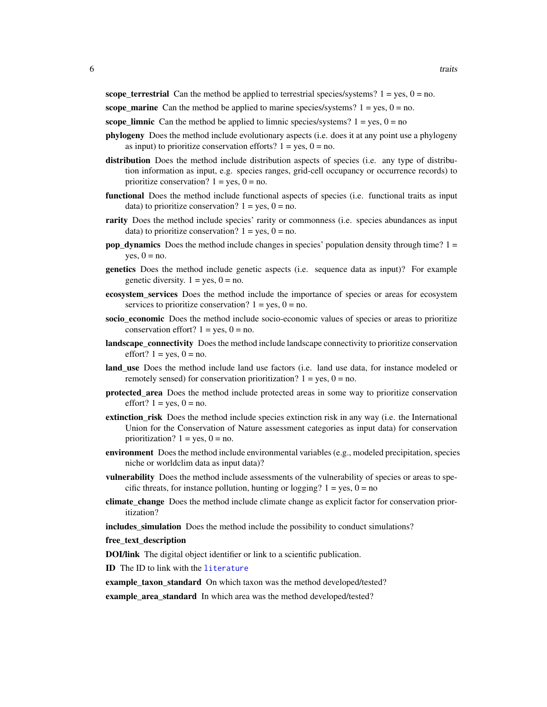<span id="page-5-0"></span>scope\_terrestrial Can the method be applied to terrestrial species/systems?  $1 = yes$ ,  $0 = no$ .

scope\_marine Can the method be applied to marine species/systems?  $1 = yes$ ,  $0 = no$ .

scope\_limnic Can the method be applied to limnic species/systems?  $1 = yes$ ,  $0 = no$ 

- phylogeny Does the method include evolutionary aspects (i.e. does it at any point use a phylogeny as input) to prioritize conservation efforts?  $1 = yes$ ,  $0 = no$ .
- distribution Does the method include distribution aspects of species (i.e. any type of distribution information as input, e.g. species ranges, grid-cell occupancy or occurrence records) to prioritize conservation?  $1 = yes$ ,  $0 = no$ .
- functional Does the method include functional aspects of species (i.e. functional traits as input data) to prioritize conservation?  $1 = yes$ ,  $0 = no$ .
- rarity Does the method include species' rarity or commonness (i.e. species abundances as input data) to prioritize conservation?  $1 = yes$ ,  $0 = no$ .
- **pop\_dynamics** Does the method include changes in species' population density through time?  $1 =$ yes,  $0 = no$ .
- genetics Does the method include genetic aspects (i.e. sequence data as input)? For example genetic diversity.  $1 = yes$ ,  $0 = no$ .
- ecosystem\_services Does the method include the importance of species or areas for ecosystem services to prioritize conservation?  $1 = yes$ ,  $0 = no$ .
- socio\_economic Does the method include socio-economic values of species or areas to prioritize conservation effort?  $1 = yes$ ,  $0 = no$ .
- landscape\_connectivity Does the method include landscape connectivity to prioritize conservation effort?  $1 = yes$ ,  $0 = no$ .
- land\_use Does the method include land use factors (i.e. land use data, for instance modeled or remotely sensed) for conservation prioritization?  $1 = yes$ ,  $0 = no$ .
- protected\_area Does the method include protected areas in some way to prioritize conservation effort?  $1 = yes$ ,  $0 = no$ .
- extinction\_risk Does the method include species extinction risk in any way (i.e. the International Union for the Conservation of Nature assessment categories as input data) for conservation prioritization?  $1 = yes$ ,  $0 = no$ .
- **environment** Does the method include environmental variables (e.g., modeled precipitation, species niche or worldclim data as input data)?
- vulnerability Does the method include assessments of the vulnerability of species or areas to specific threats, for instance pollution, hunting or logging?  $1 = yes$ ,  $0 = no$
- climate change Does the method include climate change as explicit factor for conservation prioritization?

includes\_simulation Does the method include the possibility to conduct simulations?

#### free\_text\_description

DOI/link The digital object identifier or link to a scientific publication.

ID The ID to link with the [literature](#page-3-2)

example\_taxon\_standard On which taxon was the method developed/tested?

example area standard In which area was the method developed/tested?